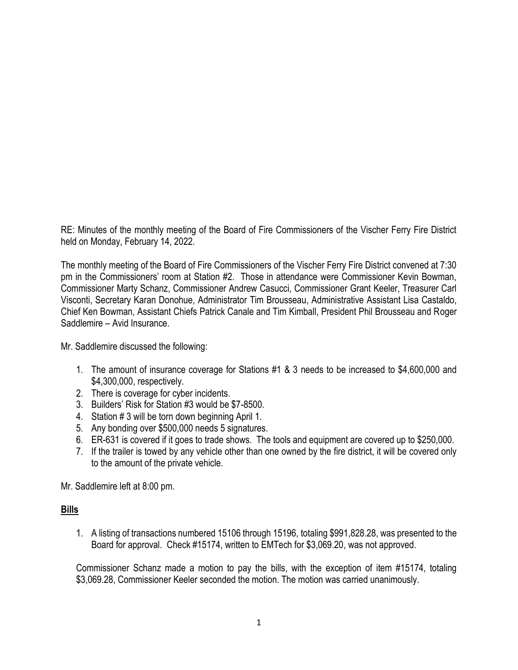RE: Minutes of the monthly meeting of the Board of Fire Commissioners of the Vischer Ferry Fire District held on Monday, February 14, 2022.

The monthly meeting of the Board of Fire Commissioners of the Vischer Ferry Fire District convened at 7:30 pm in the Commissioners' room at Station #2. Those in attendance were Commissioner Kevin Bowman, Commissioner Marty Schanz, Commissioner Andrew Casucci, Commissioner Grant Keeler, Treasurer Carl Visconti, Secretary Karan Donohue, Administrator Tim Brousseau, Administrative Assistant Lisa Castaldo, Chief Ken Bowman, Assistant Chiefs Patrick Canale and Tim Kimball, President Phil Brousseau and Roger Saddlemire – Avid Insurance.

Mr. Saddlemire discussed the following:

- 1. The amount of insurance coverage for Stations #1 & 3 needs to be increased to \$4,600,000 and \$4,300,000, respectively.
- 2. There is coverage for cyber incidents.
- 3. Builders' Risk for Station #3 would be \$7-8500.
- 4. Station # 3 will be torn down beginning April 1.
- 5. Any bonding over \$500,000 needs 5 signatures.
- 6. ER-631 is covered if it goes to trade shows. The tools and equipment are covered up to \$250,000.
- 7. If the trailer is towed by any vehicle other than one owned by the fire district, it will be covered only to the amount of the private vehicle.

Mr. Saddlemire left at 8:00 pm.

## **Bills**

1. A listing of transactions numbered 15106 through 15196, totaling \$991,828.28, was presented to the Board for approval. Check #15174, written to EMTech for \$3,069.20, was not approved.

Commissioner Schanz made a motion to pay the bills, with the exception of item #15174, totaling \$3,069.28, Commissioner Keeler seconded the motion. The motion was carried unanimously.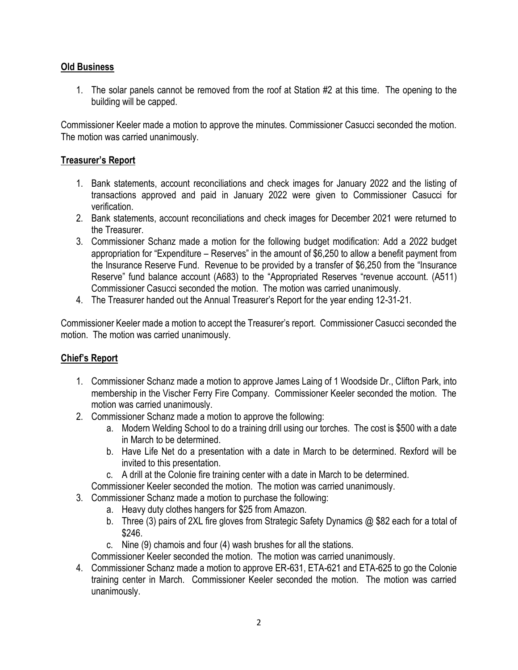# **Old Business**

1. The solar panels cannot be removed from the roof at Station #2 at this time. The opening to the building will be capped.

Commissioner Keeler made a motion to approve the minutes. Commissioner Casucci seconded the motion. The motion was carried unanimously.

# **Treasurer's Report**

- 1. Bank statements, account reconciliations and check images for January 2022 and the listing of transactions approved and paid in January 2022 were given to Commissioner Casucci for verification.
- 2. Bank statements, account reconciliations and check images for December 2021 were returned to the Treasurer.
- 3. Commissioner Schanz made a motion for the following budget modification: Add a 2022 budget appropriation for "Expenditure – Reserves" in the amount of \$6,250 to allow a benefit payment from the Insurance Reserve Fund. Revenue to be provided by a transfer of \$6,250 from the "Insurance Reserve" fund balance account (A683) to the "Appropriated Reserves "revenue account. (A511) Commissioner Casucci seconded the motion. The motion was carried unanimously.
- 4. The Treasurer handed out the Annual Treasurer's Report for the year ending 12-31-21.

Commissioner Keeler made a motion to accept the Treasurer's report. Commissioner Casucci seconded the motion. The motion was carried unanimously.

## **Chief's Report**

- 1. Commissioner Schanz made a motion to approve James Laing of 1 Woodside Dr., Clifton Park, into membership in the Vischer Ferry Fire Company. Commissioner Keeler seconded the motion. The motion was carried unanimously.
- 2. Commissioner Schanz made a motion to approve the following:
	- a. Modern Welding School to do a training drill using our torches. The cost is \$500 with a date in March to be determined.
	- b. Have Life Net do a presentation with a date in March to be determined. Rexford will be invited to this presentation.
	- c. A drill at the Colonie fire training center with a date in March to be determined.
	- Commissioner Keeler seconded the motion. The motion was carried unanimously.
- 3. Commissioner Schanz made a motion to purchase the following:
	- a. Heavy duty clothes hangers for \$25 from Amazon.
	- b. Three (3) pairs of 2XL fire gloves from Strategic Safety Dynamics @ \$82 each for a total of \$246.
	- c. Nine (9) chamois and four (4) wash brushes for all the stations.

Commissioner Keeler seconded the motion. The motion was carried unanimously.

4. Commissioner Schanz made a motion to approve ER-631, ETA-621 and ETA-625 to go the Colonie training center in March. Commissioner Keeler seconded the motion. The motion was carried unanimously.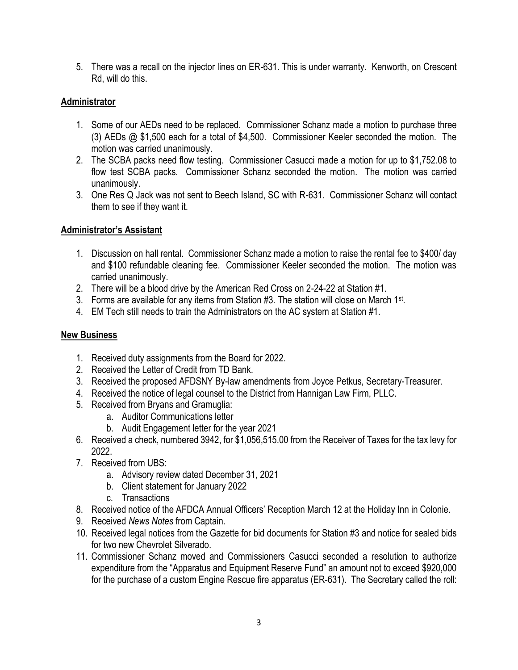5. There was a recall on the injector lines on ER-631. This is under warranty. Kenworth, on Crescent Rd, will do this.

## **Administrator**

- 1. Some of our AEDs need to be replaced. Commissioner Schanz made a motion to purchase three (3) AEDs @ \$1,500 each for a total of \$4,500. Commissioner Keeler seconded the motion. The motion was carried unanimously.
- 2. The SCBA packs need flow testing. Commissioner Casucci made a motion for up to \$1,752.08 to flow test SCBA packs. Commissioner Schanz seconded the motion. The motion was carried unanimously.
- 3. One Res Q Jack was not sent to Beech Island, SC with R-631. Commissioner Schanz will contact them to see if they want it.

## **Administrator's Assistant**

- 1. Discussion on hall rental. Commissioner Schanz made a motion to raise the rental fee to \$400/ day and \$100 refundable cleaning fee. Commissioner Keeler seconded the motion. The motion was carried unanimously.
- 2. There will be a blood drive by the American Red Cross on 2-24-22 at Station #1.
- 3. Forms are available for any items from Station #3. The station will close on March 1<sup>st</sup>.
- 4. EM Tech still needs to train the Administrators on the AC system at Station #1.

# **New Business**

- 1. Received duty assignments from the Board for 2022.
- 2. Received the Letter of Credit from TD Bank.
- 3. Received the proposed AFDSNY By-law amendments from Joyce Petkus, Secretary-Treasurer.
- 4. Received the notice of legal counsel to the District from Hannigan Law Firm, PLLC.
- 5. Received from Bryans and Gramuglia:
	- a. Auditor Communications letter
	- b. Audit Engagement letter for the year 2021
- 6. Received a check, numbered 3942, for \$1,056,515.00 from the Receiver of Taxes for the tax levy for 2022.
- 7. Received from UBS:
	- a. Advisory review dated December 31, 2021
	- b. Client statement for January 2022
	- c. Transactions
- 8. Received notice of the AFDCA Annual Officers' Reception March 12 at the Holiday Inn in Colonie.
- 9. Received *News Notes* from Captain.
- 10. Received legal notices from the Gazette for bid documents for Station #3 and notice for sealed bids for two new Chevrolet Silverado.
- 11. Commissioner Schanz moved and Commissioners Casucci seconded a resolution to authorize expenditure from the "Apparatus and Equipment Reserve Fund" an amount not to exceed \$920,000 for the purchase of a custom Engine Rescue fire apparatus (ER-631). The Secretary called the roll: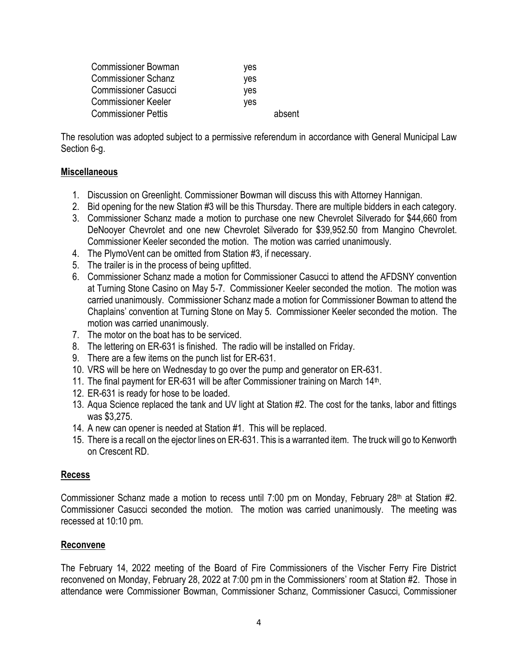| <b>Commissioner Bowman</b>  | ves    |
|-----------------------------|--------|
| <b>Commissioner Schanz</b>  | ves    |
| <b>Commissioner Casucci</b> | ves    |
| <b>Commissioner Keeler</b>  | yes    |
| <b>Commissioner Pettis</b>  | absent |

The resolution was adopted subject to a permissive referendum in accordance with General Municipal Law Section 6-g.

### **Miscellaneous**

- 1. Discussion on Greenlight. Commissioner Bowman will discuss this with Attorney Hannigan.
- 2. Bid opening for the new Station #3 will be this Thursday. There are multiple bidders in each category.
- 3. Commissioner Schanz made a motion to purchase one new Chevrolet Silverado for \$44,660 from DeNooyer Chevrolet and one new Chevrolet Silverado for \$39,952.50 from Mangino Chevrolet. Commissioner Keeler seconded the motion. The motion was carried unanimously.
- 4. The PlymoVent can be omitted from Station #3, if necessary.
- 5. The trailer is in the process of being upfitted.
- 6. Commissioner Schanz made a motion for Commissioner Casucci to attend the AFDSNY convention at Turning Stone Casino on May 5-7. Commissioner Keeler seconded the motion. The motion was carried unanimously. Commissioner Schanz made a motion for Commissioner Bowman to attend the Chaplains' convention at Turning Stone on May 5. Commissioner Keeler seconded the motion. The motion was carried unanimously.
- 7. The motor on the boat has to be serviced.
- 8. The lettering on ER-631 is finished. The radio will be installed on Friday.
- 9. There are a few items on the punch list for ER-631.
- 10. VRS will be here on Wednesday to go over the pump and generator on ER-631.
- 11. The final payment for ER-631 will be after Commissioner training on March 14<sup>th</sup>.
- 12. ER-631 is ready for hose to be loaded.
- 13. Aqua Science replaced the tank and UV light at Station #2. The cost for the tanks, labor and fittings was \$3,275.
- 14. A new can opener is needed at Station #1. This will be replaced.
- 15. There is a recall on the ejector lines on ER-631. This is a warranted item. The truck will go to Kenworth on Crescent RD.

### **Recess**

Commissioner Schanz made a motion to recess until 7:00 pm on Monday, February 28<sup>th</sup> at Station #2. Commissioner Casucci seconded the motion. The motion was carried unanimously. The meeting was recessed at 10:10 pm.

### **Reconvene**

The February 14, 2022 meeting of the Board of Fire Commissioners of the Vischer Ferry Fire District reconvened on Monday, February 28, 2022 at 7:00 pm in the Commissioners' room at Station #2. Those in attendance were Commissioner Bowman, Commissioner Schanz, Commissioner Casucci, Commissioner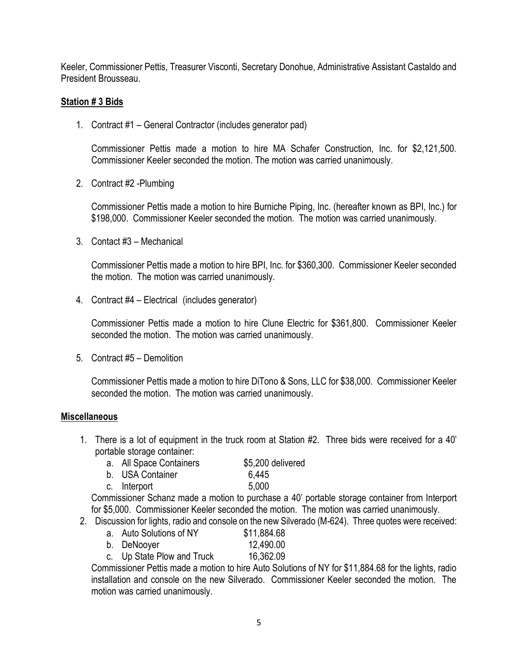Keeler, Commissioner Pettis, Treasurer Visconti, Secretary Donohue, Administrative Assistant Castaldo and President Brousseau.

### **Station # 3 Bids**

1. Contract #1 – General Contractor (includes generator pad)

Commissioner Pettis made a motion to hire MA Schafer Construction, Inc. for \$2,121,500. Commissioner Keeler seconded the motion. The motion was carried unanimously.

2. Contract #2 -Plumbing

Commissioner Pettis made a motion to hire Burniche Piping, Inc. (hereafter known as BPI, Inc.) for \$198,000. Commissioner Keeler seconded the motion. The motion was carried unanimously.

3. Contact #3 – Mechanical

Commissioner Pettis made a motion to hire BPI, Inc. for \$360,300. Commissioner Keeler seconded the motion. The motion was carried unanimously.

4. Contract #4 – Electrical (includes generator)

Commissioner Pettis made a motion to hire Clune Electric for \$361,800. Commissioner Keeler seconded the motion. The motion was carried unanimously.

5. Contract #5 – Demolition

Commissioner Pettis made a motion to hire DiTono & Sons, LLC for \$38,000. Commissioner Keeler seconded the motion. The motion was carried unanimously.

### **Miscellaneous**

1. There is a lot of equipment in the truck room at Station #2. Three bids were received for a 40' portable storage container:

| a. | <b>All Space Containers</b> | \$5,200 delivered |
|----|-----------------------------|-------------------|
|    |                             |                   |

b. USA Container 6,445 c. Interport 5,000

Commissioner Schanz made a motion to purchase a 40' portable storage container from Interport for \$5,000. Commissioner Keeler seconded the motion. The motion was carried unanimously.

- 2. Discussion for lights, radio and console on the new Silverado (M-624). Three quotes were received:
	- a. Auto Solutions of NY \$11,884.68
	- b. DeNooyer 12,490.00
	- c. Up State Plow and Truck 16,362.09

Commissioner Pettis made a motion to hire Auto Solutions of NY for \$11,884.68 for the lights, radio installation and console on the new Silverado. Commissioner Keeler seconded the motion. The motion was carried unanimously.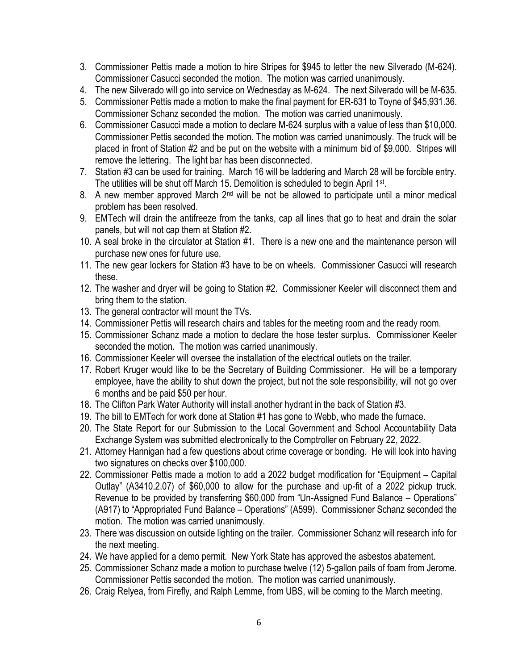- 3. Commissioner Pettis made a motion to hire Stripes for \$945 to letter the new Silverado (M-624). Commissioner Casucci seconded the motion. The motion was carried unanimously.
- 4. The new Silverado will go into service on Wednesday as M-624. The next Silverado will be M-635.
- 5. Commissioner Pettis made a motion to make the final payment for ER-631 to Toyne of \$45,931.36. Commissioner Schanz seconded the motion. The motion was carried unanimously.
- 6. Commissioner Casucci made a motion to declare M-624 surplus with a value of less than \$10,000. Commissioner Pettis seconded the motion. The motion was carried unanimously. The truck will be placed in front of Station #2 and be put on the website with a minimum bid of \$9,000. Stripes will remove the lettering. The light bar has been disconnected.
- 7. Station #3 can be used for training. March 16 will be laddering and March 28 will be forcible entry. The utilities will be shut off March 15. Demolition is scheduled to begin April 1<sup>st</sup>.
- 8. A new member approved March  $2^{nd}$  will be not be allowed to participate until a minor medical problem has been resolved.
- 9. EMTech will drain the antifreeze from the tanks, cap all lines that go to heat and drain the solar panels, but will not cap them at Station #2.
- 10. A seal broke in the circulator at Station #1. There is a new one and the maintenance person will purchase new ones for future use.
- 11. The new gear lockers for Station #3 have to be on wheels. Commissioner Casucci will research these.
- 12. The washer and dryer will be going to Station #2. Commissioner Keeler will disconnect them and bring them to the station.
- 13. The general contractor will mount the TVs.
- 14. Commissioner Pettis will research chairs and tables for the meeting room and the ready room.
- 15. Commissioner Schanz made a motion to declare the hose tester surplus. Commissioner Keeler seconded the motion. The motion was carried unanimously.
- 16. Commissioner Keeler will oversee the installation of the electrical outlets on the trailer.
- 17. Robert Kruger would like to be the Secretary of Building Commissioner. He will be a temporary employee, have the ability to shut down the project, but not the sole responsibility, will not go over 6 months and be paid \$50 per hour.
- 18. The Clifton Park Water Authority will install another hydrant in the back of Station #3.
- 19. The bill to EMTech for work done at Station #1 has gone to Webb, who made the furnace.
- 20. The State Report for our Submission to the Local Government and School Accountability Data Exchange System was submitted electronically to the Comptroller on February 22, 2022.
- 21. Attorney Hannigan had a few questions about crime coverage or bonding. He will look into having two signatures on checks over \$100,000.
- 22. Commissioner Pettis made a motion to add a 2022 budget modification for "Equipment Capital Outlay" (A3410.2.07) of \$60,000 to allow for the purchase and up-fit of a 2022 pickup truck. Revenue to be provided by transferring \$60,000 from "Un-Assigned Fund Balance – Operations" (A917) to "Appropriated Fund Balance – Operations" (A599). Commissioner Schanz seconded the motion. The motion was carried unanimously.
- 23. There was discussion on outside lighting on the trailer. Commissioner Schanz will research info for the next meeting.
- 24. We have applied for a demo permit. New York State has approved the asbestos abatement.
- 25. Commissioner Schanz made a motion to purchase twelve (12) 5-gallon pails of foam from Jerome. Commissioner Pettis seconded the motion. The motion was carried unanimously.
- 26. Craig Relyea, from Firefly, and Ralph Lemme, from UBS, will be coming to the March meeting.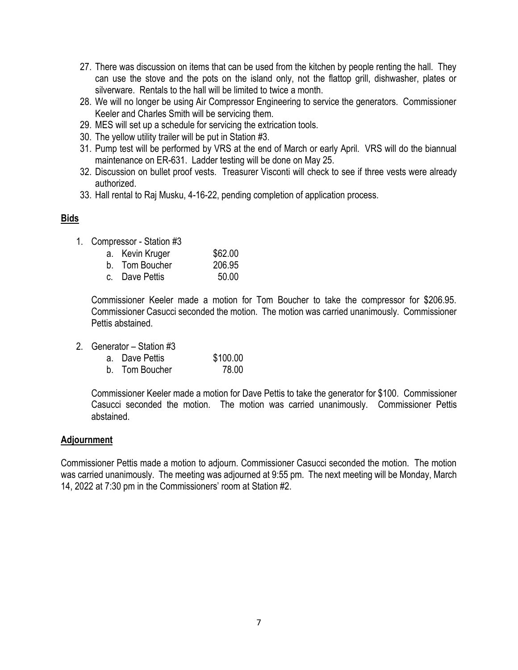- 27. There was discussion on items that can be used from the kitchen by people renting the hall. They can use the stove and the pots on the island only, not the flattop grill, dishwasher, plates or silverware. Rentals to the hall will be limited to twice a month.
- 28. We will no longer be using Air Compressor Engineering to service the generators. Commissioner Keeler and Charles Smith will be servicing them.
- 29. MES will set up a schedule for servicing the extrication tools.
- 30. The yellow utility trailer will be put in Station #3.
- 31. Pump test will be performed by VRS at the end of March or early April. VRS will do the biannual maintenance on ER-631. Ladder testing will be done on May 25.
- 32. Discussion on bullet proof vests. Treasurer Visconti will check to see if three vests were already authorized.
- 33. Hall rental to Raj Musku, 4-16-22, pending completion of application process.

### **Bids**

1. Compressor - Station #3

| a. Kevin Kruger | \$62.00 |
|-----------------|---------|
| b. Tom Boucher  | 206.95  |
| c. Dave Pettis  | 50.00   |

Commissioner Keeler made a motion for Tom Boucher to take the compressor for \$206.95. Commissioner Casucci seconded the motion. The motion was carried unanimously. Commissioner Pettis abstained.

2. Generator – Station #3

| a. Dave Pettis | \$100.00 |
|----------------|----------|
| b. Tom Boucher | 78.00    |

Commissioner Keeler made a motion for Dave Pettis to take the generator for \$100. Commissioner Casucci seconded the motion. The motion was carried unanimously. Commissioner Pettis abstained.

### **Adjournment**

Commissioner Pettis made a motion to adjourn. Commissioner Casucci seconded the motion. The motion was carried unanimously. The meeting was adjourned at 9:55 pm. The next meeting will be Monday, March 14, 2022 at 7:30 pm in the Commissioners' room at Station #2.